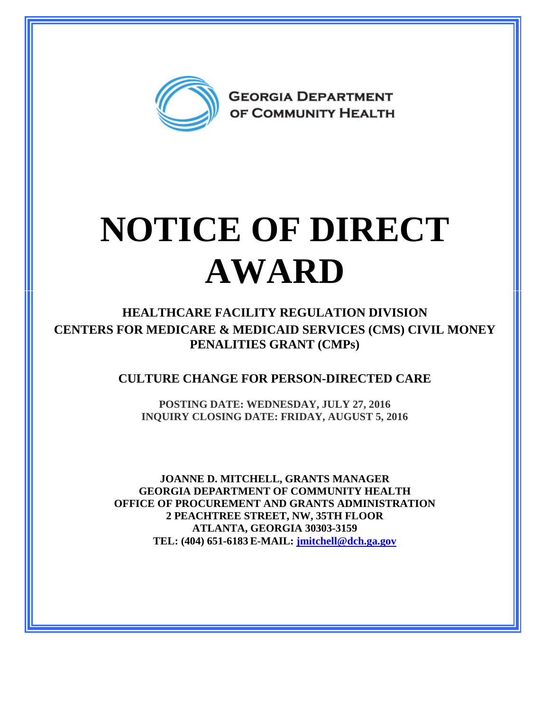

## **NOTICE OF DIRECT AWARD**

**HEALTHCARE FACILITY REGULATION DIVISION CENTERS FOR MEDICARE & MEDICAID SERVICES (CMS) CIVIL MONEY PENALITIES GRANT (CMPs)**

**CULTURE CHANGE FOR PERSON-DIRECTED CARE**

**POSTING DATE: WEDNESDAY, JULY 27, 2016 INQUIRY CLOSING DATE: FRIDAY, AUGUST 5, 2016** 

**JOANNE D. MITCHELL, GRANTS MANAGER GEORGIA DEPARTMENT OF COMMUNITY HEALTH OFFICE OF PROCUREMENT AND GRANTS ADMINISTRATION 2 PEACHTREE STREET, NW, 35TH FLOOR ATLANTA, GEORGIA 30303-3159 TEL: (404) 651-6183 E-MAIL: [jmitchell@dch.ga.gov](mailto:awatson@dch.ga.gov)**